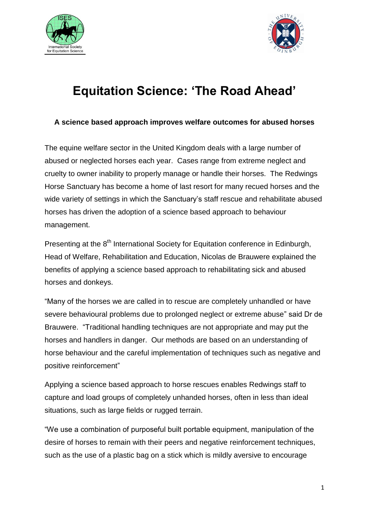



## **Equitation Science: 'The Road Ahead'**

## **A science based approach improves welfare outcomes for abused horses**

The equine welfare sector in the United Kingdom deals with a large number of abused or neglected horses each year. Cases range from extreme neglect and cruelty to owner inability to properly manage or handle their horses. The Redwings Horse Sanctuary has become a home of last resort for many recued horses and the wide variety of settings in which the Sanctuary's staff rescue and rehabilitate abused horses has driven the adoption of a science based approach to behaviour management.

Presenting at the 8<sup>th</sup> International Society for Equitation conference in Edinburgh, Head of Welfare, Rehabilitation and Education, Nicolas de Brauwere explained the benefits of applying a science based approach to rehabilitating sick and abused horses and donkeys.

"Many of the horses we are called in to rescue are completely unhandled or have severe behavioural problems due to prolonged neglect or extreme abuse" said Dr de Brauwere. "Traditional handling techniques are not appropriate and may put the horses and handlers in danger. Our methods are based on an understanding of horse behaviour and the careful implementation of techniques such as negative and positive reinforcement"

Applying a science based approach to horse rescues enables Redwings staff to capture and load groups of completely unhanded horses, often in less than ideal situations, such as large fields or rugged terrain.

"We use a combination of purposeful built portable equipment, manipulation of the desire of horses to remain with their peers and negative reinforcement techniques, such as the use of a plastic bag on a stick which is mildly aversive to encourage